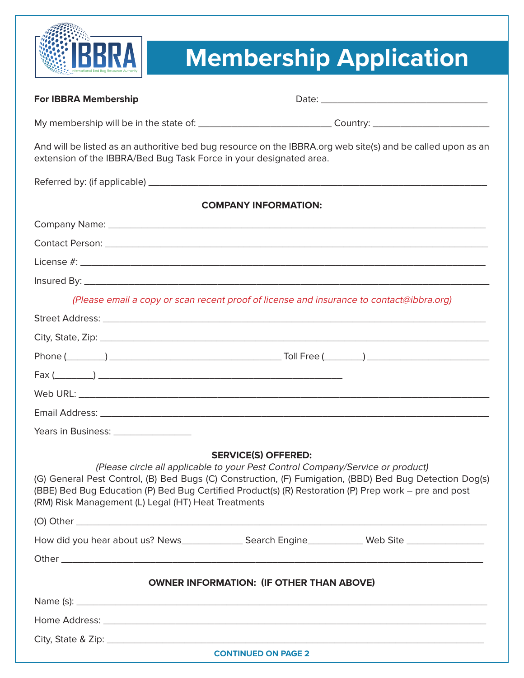

## **Membership Application**

| <b>For IBBRA Membership</b>                                                                                                                                                                                                                                                                                                                                                             |  |  |
|-----------------------------------------------------------------------------------------------------------------------------------------------------------------------------------------------------------------------------------------------------------------------------------------------------------------------------------------------------------------------------------------|--|--|
| My membership will be in the state of: ________________________________Country: ______________________________                                                                                                                                                                                                                                                                          |  |  |
| And will be listed as an authoritive bed bug resource on the IBBRA.org web site(s) and be called upon as an<br>extension of the IBBRA/Bed Bug Task Force in your designated area.                                                                                                                                                                                                       |  |  |
|                                                                                                                                                                                                                                                                                                                                                                                         |  |  |
| <b>COMPANY INFORMATION:</b>                                                                                                                                                                                                                                                                                                                                                             |  |  |
|                                                                                                                                                                                                                                                                                                                                                                                         |  |  |
|                                                                                                                                                                                                                                                                                                                                                                                         |  |  |
|                                                                                                                                                                                                                                                                                                                                                                                         |  |  |
|                                                                                                                                                                                                                                                                                                                                                                                         |  |  |
| (Please email a copy or scan recent proof of license and insurance to contact@ibbra.org)                                                                                                                                                                                                                                                                                                |  |  |
|                                                                                                                                                                                                                                                                                                                                                                                         |  |  |
|                                                                                                                                                                                                                                                                                                                                                                                         |  |  |
|                                                                                                                                                                                                                                                                                                                                                                                         |  |  |
|                                                                                                                                                                                                                                                                                                                                                                                         |  |  |
|                                                                                                                                                                                                                                                                                                                                                                                         |  |  |
|                                                                                                                                                                                                                                                                                                                                                                                         |  |  |
| Years in Business: __________________                                                                                                                                                                                                                                                                                                                                                   |  |  |
| <b>SERVICE(S) OFFERED:</b><br>(Please circle all applicable to your Pest Control Company/Service or product)<br>(G) General Pest Control, (B) Bed Bugs (C) Construction, (F) Fumigation, (BBD) Bed Bug Detection Dog(s)<br>(BBE) Bed Bug Education (P) Bed Bug Certified Product(s) (R) Restoration (P) Prep work – pre and post<br>(RM) Risk Management (L) Legal (HT) Heat Treatments |  |  |
|                                                                                                                                                                                                                                                                                                                                                                                         |  |  |
|                                                                                                                                                                                                                                                                                                                                                                                         |  |  |
| <b>OWNER INFORMATION: (IF OTHER THAN ABOVE)</b>                                                                                                                                                                                                                                                                                                                                         |  |  |
|                                                                                                                                                                                                                                                                                                                                                                                         |  |  |
|                                                                                                                                                                                                                                                                                                                                                                                         |  |  |
|                                                                                                                                                                                                                                                                                                                                                                                         |  |  |
| <b>CONTINUED ON PAGE 2</b>                                                                                                                                                                                                                                                                                                                                                              |  |  |